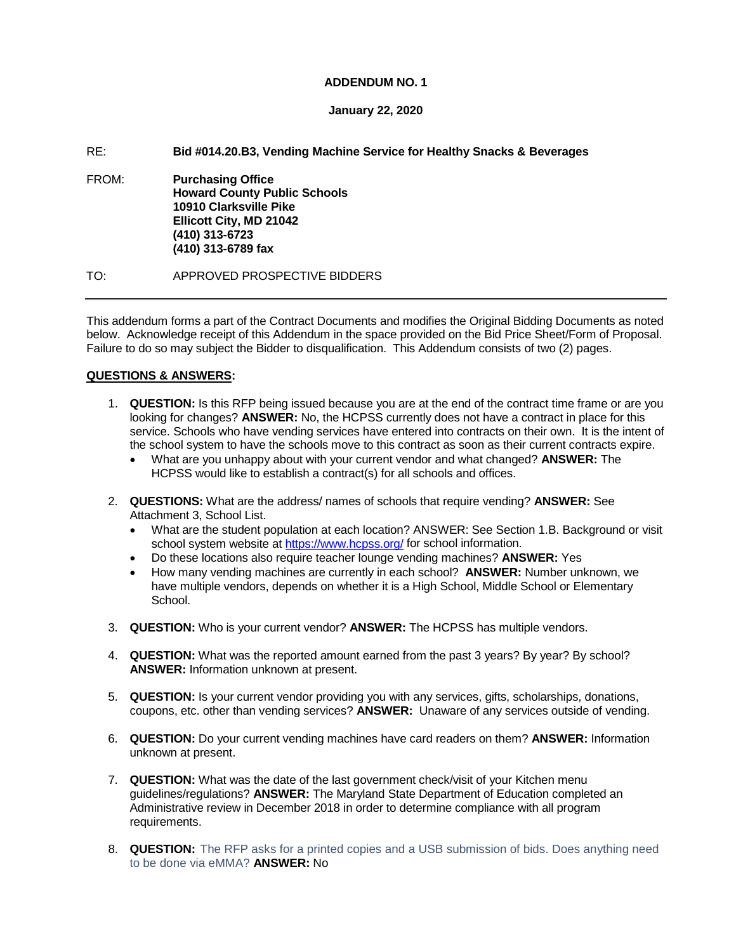### **ADDENDUM NO. 1**

## **January 22, 2020**

## RE: **Bid #014.20.B3, Vending Machine Service for Healthy Snacks & Beverages**

FROM: **Purchasing Office Howard County Public Schools 10910 Clarksville Pike Ellicott City, MD 21042 (410) 313-6723 (410) 313-6789 fax**

TO: APPROVED PROSPECTIVE BIDDERS

This addendum forms a part of the Contract Documents and modifies the Original Bidding Documents as noted below. Acknowledge receipt of this Addendum in the space provided on the Bid Price Sheet/Form of Proposal. Failure to do so may subject the Bidder to disqualification. This Addendum consists of two (2) pages.

# **QUESTIONS & ANSWERS:**

- 1. **QUESTION:** Is this RFP being issued because you are at the end of the contract time frame or are you looking for changes? **ANSWER:** No, the HCPSS currently does not have a contract in place for this service. Schools who have vending services have entered into contracts on their own. It is the intent of the school system to have the schools move to this contract as soon as their current contracts expire.
	- What are you unhappy about with your current vendor and what changed? **ANSWER:** The HCPSS would like to establish a contract(s) for all schools and offices.
- 2. **QUESTIONS:** What are the address/ names of schools that require vending? **ANSWER:** See Attachment 3, School List.
	- What are the student population at each location? ANSWER: See Section 1.B. Background or visit school system website at<https://www.hcpss.org/> for school information.
	- Do these locations also require teacher lounge vending machines? **ANSWER:** Yes
	- How many vending machines are currently in each school? **ANSWER:** Number unknown, we have multiple vendors, depends on whether it is a High School, Middle School or Elementary School.
- 3. **QUESTION:** Who is your current vendor? **ANSWER:** The HCPSS has multiple vendors.
- 4. **QUESTION:** What was the reported amount earned from the past 3 years? By year? By school? **ANSWER:** Information unknown at present.
- 5. **QUESTION:** Is your current vendor providing you with any services, gifts, scholarships, donations, coupons, etc. other than vending services? **ANSWER:** Unaware of any services outside of vending.
- 6. **QUESTION:** Do your current vending machines have card readers on them? **ANSWER:** Information unknown at present.
- 7. **QUESTION:** What was the date of the last government check/visit of your Kitchen menu guidelines/regulations? **ANSWER:** The Maryland State Department of Education completed an Administrative review in December 2018 in order to determine compliance with all program requirements.
- 8. **QUESTION:** The RFP asks for a printed copies and a USB submission of bids. Does anything need to be done via eMMA? **ANSWER:** No